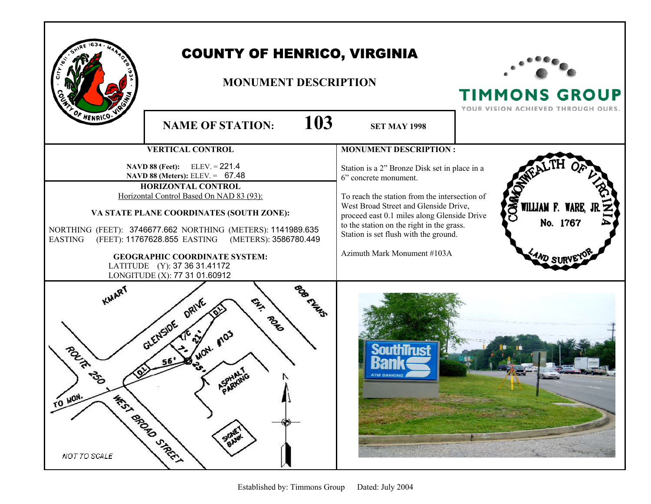|                                                               | <b>COUNTY OF HENRICO, VIRGINIA</b><br><b>MONUMENT DESCRIPTION</b>                                                                                                                                                                                                                                                                                           |                                                                                                                                                                                                                                                                                                                                      | <b>TIMMONS GROUP</b><br>YOUR VISION ACHIEVED THROUGH OURS. |
|---------------------------------------------------------------|-------------------------------------------------------------------------------------------------------------------------------------------------------------------------------------------------------------------------------------------------------------------------------------------------------------------------------------------------------------|--------------------------------------------------------------------------------------------------------------------------------------------------------------------------------------------------------------------------------------------------------------------------------------------------------------------------------------|------------------------------------------------------------|
| HENRICO.                                                      | 103<br><b>NAME OF STATION:</b>                                                                                                                                                                                                                                                                                                                              | <b>SET MAY 1998</b>                                                                                                                                                                                                                                                                                                                  |                                                            |
|                                                               | <b>VERTICAL CONTROL</b>                                                                                                                                                                                                                                                                                                                                     | <b>MONUMENT DESCRIPTION:</b>                                                                                                                                                                                                                                                                                                         |                                                            |
| <b>EASTING</b>                                                | <b>NAVD 88 (Feet):</b> ELEV. = $221.4$<br>NAVD 88 (Meters): ELEV. = 67.48<br><b>HORIZONTAL CONTROL</b><br>Horizontal Control Based On NAD 83 (93):<br>VA STATE PLANE COORDINATES (SOUTH ZONE):<br>NORTHING (FEET): 3746677.662 NORTHING (METERS): 1141989.635<br>(FEET): 11767628.855 EASTING (METERS): 3586780.449<br><b>GEOGRAPHIC COORDINATE SYSTEM:</b> | Station is a 2" Bronze Disk set in place in a<br>6" concrete monument.<br>To reach the station from the intersection of<br>West Broad Street and Glenside Drive,<br>proceed east 0.1 miles along Glenside Drive<br>to the station on the right in the grass.<br>Station is set flush with the ground.<br>Azimuth Mark Monument #103A | <b>DOMA</b><br>WILLIAM F. WARE, J<br>No. 1767<br>:4ND SI   |
| LATITUDE (Y): 37 36 31.41172<br>LONGITUDE (X): 77 31 01.60912 |                                                                                                                                                                                                                                                                                                                                                             |                                                                                                                                                                                                                                                                                                                                      |                                                            |
| <b>ROLL</b><br>TO MON.<br>MEDIA SPORO SIMPLY<br>NOT TO SCALE  | منجي<br><b>ORIVE</b><br><b>PORT</b><br><b>GLENSIDE</b><br><b>AON.</b> Alos<br><b>SIGNET</b>                                                                                                                                                                                                                                                                 |                                                                                                                                                                                                                                                                                                                                      |                                                            |